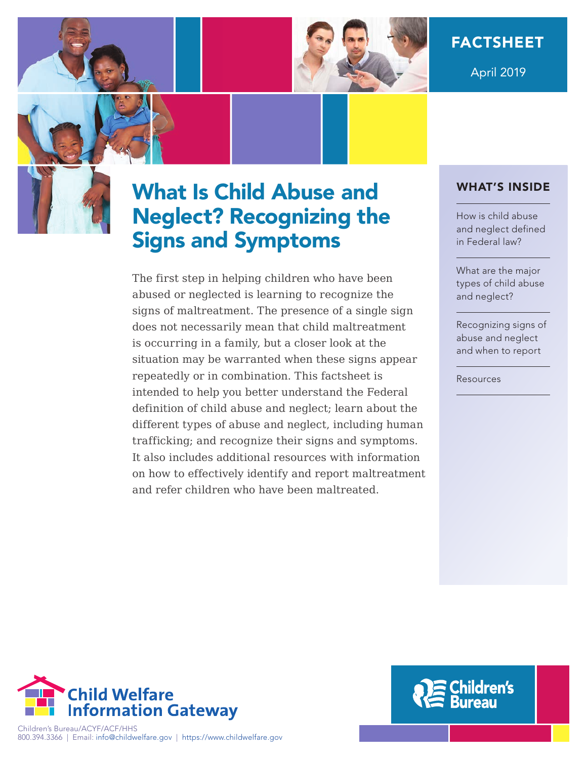

April 2019

# What Is Child Abuse and Neglect? Recognizing the Signs and Symptoms

The first step in helping children who have been abused or neglected is learning to recognize the signs of maltreatment. The presence of a single sign does not necessarily mean that child maltreatment is occurring in a family, but a closer look at the situation may be warranted when these signs appear repeatedly or in combination. This factsheet is intended to help you better understand the Federal definition of child abuse and neglect; learn about the different types of abuse and neglect, including human trafficking; and recognize their signs and symptoms. It also includes additional resources with information on how to effectively identify and report maltreatment and refer children who have been maltreated.

## WHAT'S INSIDE

How is child abuse [and neglect defined](#page-1-0)  in Federal law?

What are the major [types of child abuse](#page-1-0)  and neglect?

[Recognizing signs of](#page-3-0)  abuse and neglect and when to report

[Resources](#page-6-0) 



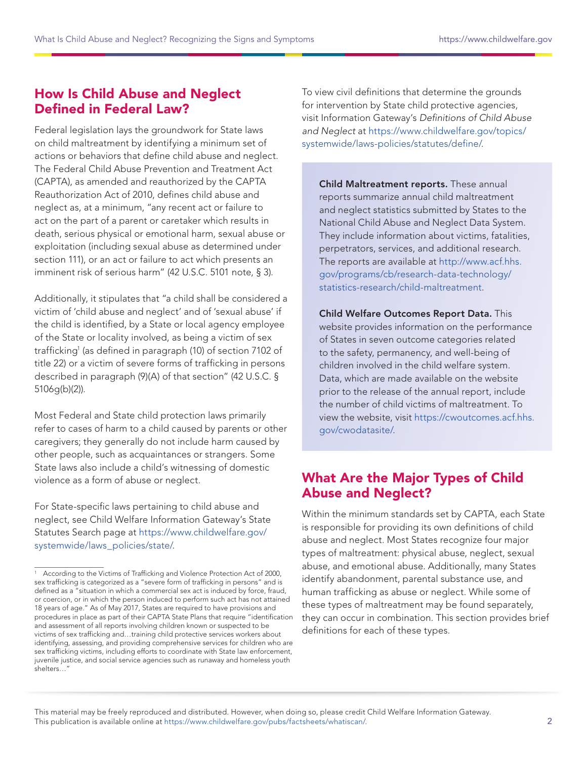## <span id="page-1-0"></span>How Is Child Abuse and Neglect Defined in Federal Law?

Federal legislation lays the groundwork for State laws on child maltreatment by identifying a minimum set of actions or behaviors that define child abuse and neglect. The Federal Child Abuse Prevention and Treatment Act (CAPTA), as amended and reauthorized by the CAPTA Reauthorization Act of 2010, defines child abuse and neglect as, at a minimum, "any recent act or failure to act on the part of a parent or caretaker which results in death, serious physical or emotional harm, sexual abuse or exploitation (including sexual abuse as determined under section 111), or an act or failure to act which presents an imminent risk of serious harm" (42 U.S.C. 5101 note, § 3).

Additionally, it stipulates that "a child shall be considered a victim of 'child abuse and neglect' and of 'sexual abuse' if the child is identified, by a State or local agency employee of the State or locality involved, as being a victim of sex trafficking<sup>1</sup> (as defined in paragraph (10) of section 7102 of title 22) or a victim of severe forms of trafficking in persons described in paragraph (9)(A) of that section" (42 U.S.C. § 5106g(b)(2)).

Most Federal and State child protection laws primarily refer to cases of harm to a child caused by parents or other caregivers; they generally do not include harm caused by other people, such as acquaintances or strangers. Some State laws also include a child's witnessing of domestic violence as a form of abuse or neglect.

For State-specific laws pertaining to child abuse and neglect, see Child Welfare Information Gateway's State Statutes Search page at [https://www.childwelfare.gov/](https://www.childwelfare.gov/systemwide/laws_policies/state/) [systemwide/laws\\_policies/state/.](https://www.childwelfare.gov/systemwide/laws_policies/state/)

To view civil definitions that determine the grounds for intervention by State child protective agencies, visit Information Gateway's Definitions of Child Abuse and Neglect at [https://www.childwelfare.gov/topics/](https://www.childwelfare.gov/topics/systemwide/laws-policies/statutes/define/) [systemwide/laws-policies/statutes/define/](https://www.childwelfare.gov/topics/systemwide/laws-policies/statutes/define/).

Child Maltreatment reports. These annual reports summarize annual child maltreatment and neglect statistics submitted by States to the National Child Abuse and Neglect Data System. They include information about victims, fatalities, perpetrators, services, and additional research. The reports are available at [http://www.acf.hhs.](http://www.acf.hhs.gov/programs/cb/research-data-technology/statistics-research/child-maltreatment) [gov/programs/cb/research-data-technology/](http://www.acf.hhs.gov/programs/cb/research-data-technology/statistics-research/child-maltreatment) [statistics-research/child-maltreatment.](http://www.acf.hhs.gov/programs/cb/research-data-technology/statistics-research/child-maltreatment)

Child Welfare Outcomes Report Data. This website provides information on the performance of States in seven outcome categories related to the safety, permanency, and well-being of children involved in the child welfare system. Data, which are made available on the website prior to the release of the annual report, include the number of child victims of maltreatment. To view the website, visit [https://cwoutcomes.acf.hhs.](https://cwoutcomes.acf.hhs.gov/cwodatasite/) [gov/cwodatasite/.](https://cwoutcomes.acf.hhs.gov/cwodatasite/)

# What Are the Major Types of Child Abuse and Neglect?

Within the minimum standards set by CAPTA, each State is responsible for providing its own definitions of child abuse and neglect. Most States recognize four major types of maltreatment: physical abuse, neglect, sexual abuse, and emotional abuse. Additionally, many States identify abandonment, parental substance use, and human trafficking as abuse or neglect. While some of these types of maltreatment may be found separately, they can occur in combination. This section provides brief definitions for each of these types.

According to the Victims of Trafficking and Violence Protection Act of 2000, sex trafficking is categorized as a "severe form of trafficking in persons" and is defined as a "situation in which a commercial sex act is induced by force, fraud, or coercion, or in which the person induced to perform such act has not attained 18 years of age." As of May 2017, States are required to have provisions and procedures in place as part of their CAPTA State Plans that require "identification and assessment of all reports involving children known or suspected to be victims of sex trafficking and…training child protective services workers about identifying, assessing, and providing comprehensive services for children who are sex trafficking victims, including efforts to coordinate with State law enforcement, juvenile justice, and social service agencies such as runaway and homeless youth shelters…"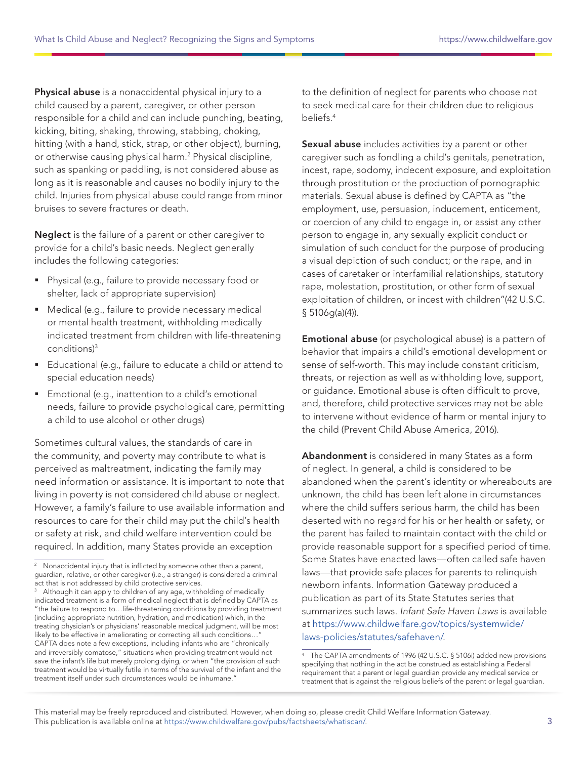Physical abuse is a nonaccidental physical injury to a child caused by a parent, caregiver, or other person responsible for a child and can include punching, beating, kicking, biting, shaking, throwing, stabbing, choking, hitting (with a hand, stick, strap, or other object), burning, or otherwise causing physical harm.2 Physical discipline, such as spanking or paddling, is not considered abuse as long as it is reasonable and causes no bodily injury to the child. Injuries from physical abuse could range from minor bruises to severe fractures or death.

Neglect is the failure of a parent or other caregiver to provide for a child's basic needs. Neglect generally includes the following categories:

- **Physical (e.g., failure to provide necessary food or** shelter, lack of appropriate supervision)
- **Medical (e.g., failure to provide necessary medical** or mental health treatment, withholding medically indicated treatment from children with life-threatening conditions)3
- Educational (e.g., failure to educate a child or attend to special education needs)
- **Emotional (e.g., inattention to a child's emotional** needs, failure to provide psychological care, permitting a child to use alcohol or other drugs)

Sometimes cultural values, the standards of care in the community, and poverty may contribute to what is perceived as maltreatment, indicating the family may need information or assistance. It is important to note that living in poverty is not considered child abuse or neglect. However, a family's failure to use available information and resources to care for their child may put the child's health or safety at risk, and child welfare intervention could be required. In addition, many States provide an exception

to the definition of neglect for parents who choose not to seek medical care for their children due to religious beliefs.4

Sexual abuse includes activities by a parent or other caregiver such as fondling a child's genitals, penetration, incest, rape, sodomy, indecent exposure, and exploitation through prostitution or the production of pornographic materials. Sexual abuse is defined by CAPTA as "the employment, use, persuasion, inducement, enticement, or coercion of any child to engage in, or assist any other person to engage in, any sexually explicit conduct or simulation of such conduct for the purpose of producing a visual depiction of such conduct; or the rape, and in cases of caretaker or interfamilial relationships, statutory rape, molestation, prostitution, or other form of sexual exploitation of children, or incest with children"(42 U.S.C. § 5106g(a)(4)).

Emotional abuse (or psychological abuse) is a pattern of behavior that impairs a child's emotional development or sense of self-worth. This may include constant criticism, threats, or rejection as well as withholding love, support, or guidance. Emotional abuse is often difficult to prove, and, therefore, child protective services may not be able to intervene without evidence of harm or mental injury to the child (Prevent Child Abuse America, 2016).

Abandonment is considered in many States as a form of neglect. In general, a child is considered to be abandoned when the parent's identity or whereabouts are unknown, the child has been left alone in circumstances where the child suffers serious harm, the child has been deserted with no regard for his or her health or safety, or the parent has failed to maintain contact with the child or provide reasonable support for a specified period of time. Some States have enacted laws—often called safe haven laws—that provide safe places for parents to relinquish newborn infants. Information Gateway produced a publication as part of its State Statutes series that summarizes such laws. Infant Safe Haven Laws is available at [https://www.childwelfare.gov/topics/systemwide/](https://www.childwelfare.gov/topics/systemwide/laws-policies/statutes/safehaven/) [laws-policies/statutes/safehaven/](https://www.childwelfare.gov/topics/systemwide/laws-policies/statutes/safehaven/).

Nonaccidental injury that is inflicted by someone other than a parent, guardian, relative, or other caregiver (i.e., a stranger) is considered a criminal act that is not addressed by child protective services.

Although it can apply to children of any age, withholding of medically indicated treatment is a form of medical neglect that is defined by CAPTA as "the failure to respond to…life-threatening conditions by providing treatment (including appropriate nutrition, hydration, and medication) which, in the treating physician's or physicians' reasonable medical judgment, will be most likely to be effective in ameliorating or correcting all such conditions...' CAPTA does note a few exceptions, including infants who are "chronically and irreversibly comatose," situations when providing treatment would not save the infant's life but merely prolong dying, or when "the provision of such treatment would be virtually futile in terms of the survival of the infant and the treatment itself under such circumstances would be inhumane."

<sup>4</sup> The CAPTA amendments of 1996 (42 U.S.C. § 5106i) added new provisions specifying that nothing in the act be construed as establishing a Federal requirement that a parent or legal guardian provide any medical service or treatment that is against the religious beliefs of the parent or legal guardian.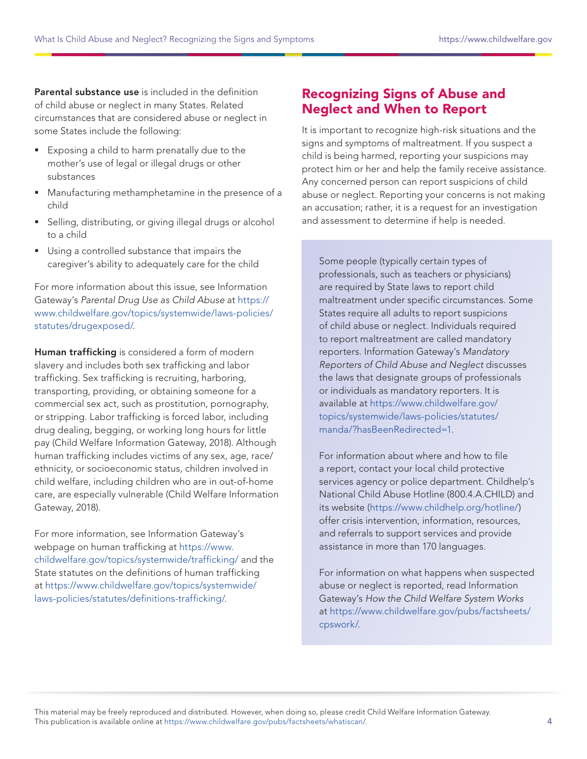<span id="page-3-0"></span>Parental substance use is included in the definition of child abuse or neglect in many States. Related circumstances that are considered abuse or neglect in some States include the following:

- Exposing a child to harm prenatally due to the mother's use of legal or illegal drugs or other substances
- Manufacturing methamphetamine in the presence of a child
- Selling, distributing, or giving illegal drugs or alcohol to a child
- **Using a controlled substance that impairs the** caregiver's ability to adequately care for the child

For more information about this issue, see Information Gateway's Parental Drug Use as Child Abuse at [https://](https://www.childwelfare.gov/topics/systemwide/laws-policies/statutes/drugexposed/) [www.childwelfare.gov/topics/systemwide/laws-policies/](https://www.childwelfare.gov/topics/systemwide/laws-policies/statutes/drugexposed/) [statutes/drugexposed/](https://www.childwelfare.gov/topics/systemwide/laws-policies/statutes/drugexposed/).

Human trafficking is considered a form of modern slavery and includes both sex trafficking and labor trafficking. Sex trafficking is recruiting, harboring, transporting, providing, or obtaining someone for a commercial sex act, such as prostitution, pornography, or stripping. Labor trafficking is forced labor, including drug dealing, begging, or working long hours for little pay (Child Welfare Information Gateway, 2018). Although human trafficking includes victims of any sex, age, race/ ethnicity, or socioeconomic status, children involved in child welfare, including children who are in out-of-home care, are especially vulnerable (Child Welfare Information Gateway, 2018).

For more information, see Information Gateway's webpage on human trafficking at [https://www.](https://www.childwelfare.gov/topics/systemwide/trafficking/) [childwelfare.gov/topics/systemwide/trafficking/](https://www.childwelfare.gov/topics/systemwide/trafficking/) and the State statutes on the definitions of human trafficking at [https://www.childwelfare.gov/topics/systemwide/](https://www.childwelfare.gov/topics/systemwide/laws-policies/statutes/definitions-trafficking/) [laws-policies/statutes/definitions-trafficking/](https://www.childwelfare.gov/topics/systemwide/laws-policies/statutes/definitions-trafficking/).

# Recognizing Signs of Abuse and Neglect and When to Report

It is important to recognize high-risk situations and the signs and symptoms of maltreatment. If you suspect a child is being harmed, reporting your suspicions may protect him or her and help the family receive assistance. Any concerned person can report suspicions of child abuse or neglect. Reporting your concerns is not making an accusation; rather, it is a request for an investigation and assessment to determine if help is needed.

Some people (typically certain types of professionals, such as teachers or physicians) are required by State laws to report child maltreatment under specific circumstances. Some States require all adults to report suspicions of child abuse or neglect. Individuals required to report maltreatment are called mandatory reporters. Information Gateway's Mandatory Reporters of Child Abuse and Neglect discusses the laws that designate groups of professionals or individuals as mandatory reporters. It is available at [https://www.childwelfare.gov/](https://www.childwelfare.gov/topics/systemwide/laws-policies/statutes/manda/?hasBeenRedirected=1) [topics/systemwide/laws-policies/statutes/](https://www.childwelfare.gov/topics/systemwide/laws-policies/statutes/manda/?hasBeenRedirected=1) [manda/?hasBeenRedirected=1.](https://www.childwelfare.gov/topics/systemwide/laws-policies/statutes/manda/?hasBeenRedirected=1)

For information about where and how to file a report, contact your local child protective services agency or police department. Childhelp's National Child Abuse Hotline (800.4.A.CHILD) and its website (<https://www.childhelp.org/hotline/>) offer crisis intervention, information, resources, and referrals to support services and provide assistance in more than 170 languages.

For information on what happens when suspected abuse or neglect is reported, read Information Gateway's How the Child Welfare System Works at [https://www.childwelfare.gov/pubs/factsheets/](https://www.childwelfare.gov/pubs/factsheets/cpswork/) [cpswork/](https://www.childwelfare.gov/pubs/factsheets/cpswork/).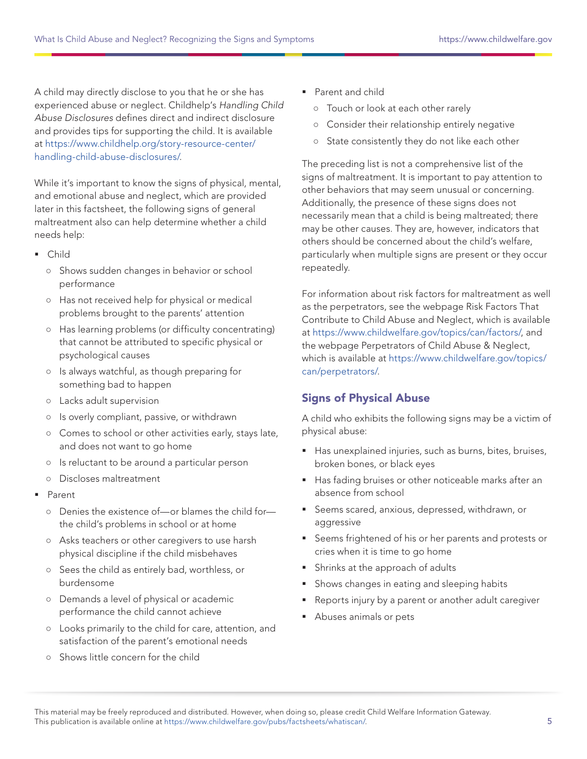A child may directly disclose to you that he or she has experienced abuse or neglect. Childhelp's Handling Child Abuse Disclosures defines direct and indirect disclosure and provides tips for supporting the child. It is available at [https://www.childhelp.org/story-resource-center/](https://www.childhelp.org/story-resource-center/handling-child-abuse-disclosures/) [handling-child-abuse-disclosures/](https://www.childhelp.org/story-resource-center/handling-child-abuse-disclosures/).

While it's important to know the signs of physical, mental, and emotional abuse and neglect, which are provided later in this factsheet, the following signs of general maltreatment also can help determine whether a child needs help:

- Child
	- Shows sudden changes in behavior or school performance
	- Has not received help for physical or medical problems brought to the parents' attention
	- Has learning problems (or difficulty concentrating) that cannot be attributed to specific physical or psychological causes
	- Is always watchful, as though preparing for something bad to happen
	- Lacks adult supervision
	- Is overly compliant, passive, or withdrawn
	- Comes to school or other activities early, stays late, and does not want to go home
	- Is reluctant to be around a particular person
	- Discloses maltreatment
- Parent
	- Denies the existence of—or blames the child for the child's problems in school or at home
	- Asks teachers or other caregivers to use harsh physical discipline if the child misbehaves
	- Sees the child as entirely bad, worthless, or burdensome
	- Demands a level of physical or academic performance the child cannot achieve
	- Looks primarily to the child for care, attention, and satisfaction of the parent's emotional needs
	- Shows little concern for the child
- Parent and child
	- Touch or look at each other rarely
	- Consider their relationship entirely negative
	- State consistently they do not like each other

The preceding list is not a comprehensive list of the signs of maltreatment. It is important to pay attention to other behaviors that may seem unusual or concerning. Additionally, the presence of these signs does not necessarily mean that a child is being maltreated; there may be other causes. They are, however, indicators that others should be concerned about the child's welfare, particularly when multiple signs are present or they occur repeatedly.

For information about risk factors for maltreatment as well as the perpetrators, see the webpage Risk Factors That Contribute to Child Abuse and Neglect, which is available at [https://www.childwelfare.gov/topics/can/factors/,](https://www.childwelfare.gov/topics/can/factors/) and the webpage Perpetrators of Child Abuse & Neglect, which is available at [https://www.childwelfare.gov/topics/](https://www.childwelfare.gov/topics/can/perpetrators/) [can/perpetrators/.](https://www.childwelfare.gov/topics/can/perpetrators/)

## Signs of Physical Abuse

A child who exhibits the following signs may be a victim of physical abuse:

- Has unexplained injuries, such as burns, bites, bruises, broken bones, or black eyes
- Has fading bruises or other noticeable marks after an absence from school
- **Seems scared, anxious, depressed, withdrawn, or** aggressive
- Seems frightened of his or her parents and protests or cries when it is time to go home
- **Shrinks at the approach of adults**
- **Shows changes in eating and sleeping habits**
- Reports injury by a parent or another adult caregiver
- Abuses animals or pets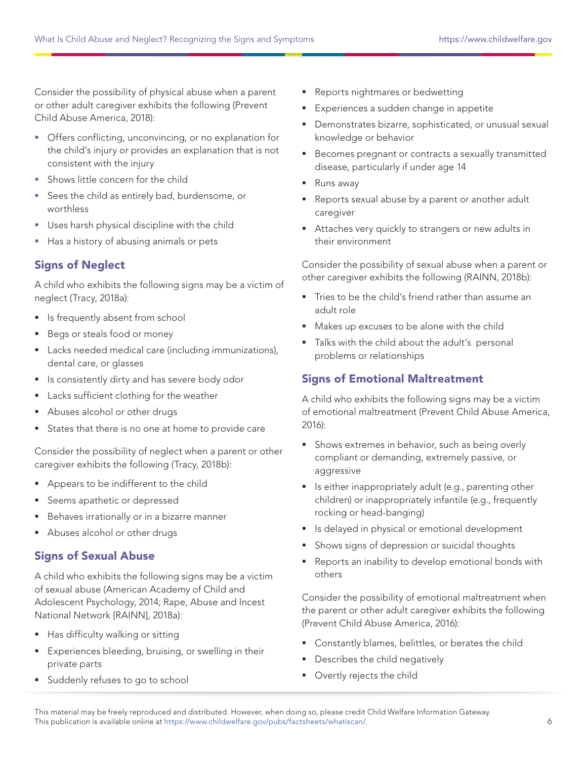Consider the possibility of physical abuse when a parent or other adult caregiver exhibits the following (Prevent Child Abuse America, 2018):

- Offers conflicting, unconvincing, or no explanation for the child's injury or provides an explanation that is not consistent with the injury
- Shows little concern for the child
- **Sees the child as entirely bad, burdensome, or** worthless
- Uses harsh physical discipline with the child
- Has a history of abusing animals or pets

#### Signs of Neglect

A child who exhibits the following signs may be a victim of neglect (Tracy, 2018a):

- **If** Is frequently absent from school
- Begs or steals food or money
- **Lacks needed medical care (including immunizations),** dental care, or glasses
- **I** Is consistently dirty and has severe body odor
- **Lacks sufficient clothing for the weather**
- **Abuses alcohol or other drugs**
- States that there is no one at home to provide care

Consider the possibility of neglect when a parent or other caregiver exhibits the following (Tracy, 2018b):

- Appears to be indifferent to the child
- Seems apathetic or depressed
- Behaves irrationally or in a bizarre manner
- Abuses alcohol or other drugs

#### Signs of Sexual Abuse

A child who exhibits the following signs may be a victim of sexual abuse (American Academy of Child and Adolescent Psychology, 2014; Rape, Abuse and Incest National Network [RAINN], 2018a):

- Has difficulty walking or sitting
- **Experiences bleeding, bruising, or swelling in their** private parts
- **Suddenly refuses to go to school**
- Reports nightmares or bedwetting
- Experiences a sudden change in appetite
- Demonstrates bizarre, sophisticated, or unusual sexual knowledge or behavior
- **Becomes pregnant or contracts a sexually transmitted** disease, particularly if under age 14
- Runs away
- Reports sexual abuse by a parent or another adult caregiver
- Attaches very quickly to strangers or new adults in their environment

Consider the possibility of sexual abuse when a parent or other caregiver exhibits the following (RAINN, 2018b):

- Tries to be the child's friend rather than assume an adult role
- Makes up excuses to be alone with the child
- Talks with the child about the adult's personal problems or relationships

#### Signs of Emotional Maltreatment

A child who exhibits the following signs may be a victim of emotional maltreatment (Prevent Child Abuse America, 2016):

- **Shows extremes in behavior, such as being overly** compliant or demanding, extremely passive, or aggressive
- **I** Is either inappropriately adult (e.g., parenting other children) or inappropriately infantile (e.g., frequently rocking or head-banging)
- **I** Is delayed in physical or emotional development
- Shows signs of depression or suicidal thoughts
- Reports an inability to develop emotional bonds with others

Consider the possibility of emotional maltreatment when the parent or other adult caregiver exhibits the following (Prevent Child Abuse America, 2016):

- **Constantly blames, belittles, or berates the child**
- Describes the child negatively
- **•** Overtly rejects the child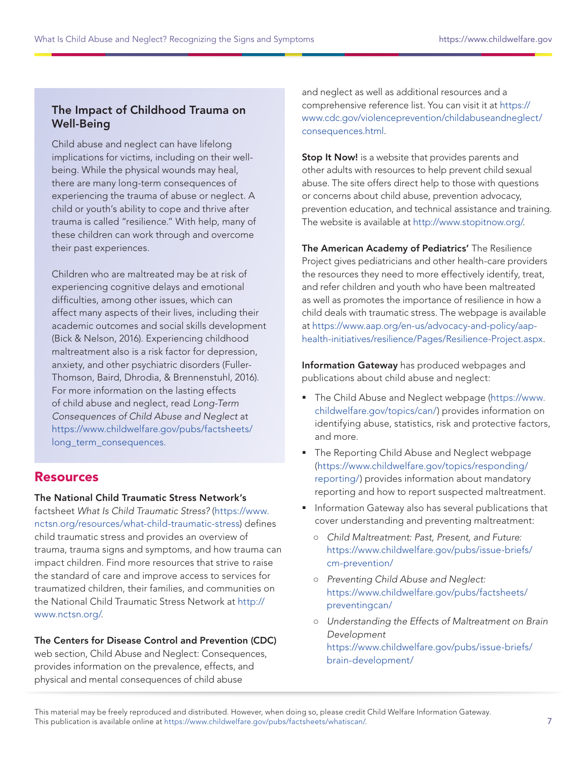#### <span id="page-6-0"></span>The Impact of Childhood Trauma on Well-Being

Child abuse and neglect can have lifelong implications for victims, including on their wellbeing. While the physical wounds may heal, there are many long-term consequences of experiencing the trauma of abuse or neglect. A child or youth's ability to cope and thrive after trauma is called "resilience." With help, many of these children can work through and overcome their past experiences.

Children who are maltreated may be at risk of experiencing cognitive delays and emotional difficulties, among other issues, which can affect many aspects of their lives, including their academic outcomes and social skills development (Bick & Nelson, 2016). Experiencing childhood maltreatment also is a risk factor for depression, anxiety, and other psychiatric disorders (Fuller-Thomson, Baird, Dhrodia, & Brennenstuhl, 2016). For more information on the lasting effects of child abuse and neglect, read Long-Term Consequences of Child Abuse and Neglect at [https://www.childwelfare.gov/pubs/factsheets/](https://www.childwelfare.gov/pubs/factsheets/long_term_consequences) [long\\_term\\_consequences.](https://www.childwelfare.gov/pubs/factsheets/long_term_consequences)

#### Resources

#### The National Child Traumatic Stress Network's

factsheet What Is Child Traumatic Stress? ([https://www.](https://www.nctsn.org/resources/what-child-traumatic-stress) [nctsn.org/resources/what-child-traumatic-stress\)](https://www.nctsn.org/resources/what-child-traumatic-stress) defines child traumatic stress and provides an overview of trauma, trauma signs and symptoms, and how trauma can impact children. Find more resources that strive to raise the standard of care and improve access to services for traumatized children, their families, and communities on the National Child Traumatic Stress Network at [http://](http://www.nctsn.org/) [www.nctsn.org/](http://www.nctsn.org/).

#### The Centers for Disease Control and Prevention (CDC)

web section, Child Abuse and Neglect: Consequences, provides information on the prevalence, effects, and physical and mental consequences of child abuse

and neglect as well as additional resources and a comprehensive reference list. You can visit it at [https://](https://www.cdc.gov/violenceprevention/childabuseandneglect/consequences.html) [www.cdc.gov/violenceprevention/childabuseandneglect/](https://www.cdc.gov/violenceprevention/childabuseandneglect/consequences.html) [consequences.html](https://www.cdc.gov/violenceprevention/childabuseandneglect/consequences.html).

**Stop It Now!** is a website that provides parents and other adults with resources to help prevent child sexual abuse. The site offers direct help to those with questions or concerns about child abuse, prevention advocacy, prevention education, and technical assistance and training. The website is available at<http://www.stopitnow.org/>.

The American Academy of Pediatrics' The Resilience Project gives pediatricians and other health-care providers the resources they need to more effectively identify, treat, and refer children and youth who have been maltreated as well as promotes the importance of resilience in how a child deals with traumatic stress. The webpage is available at [https://www.aap.org/en-us/advocacy-and-policy/aap](https://www.aap.org/en-us/advocacy-and-policy/aap-health-initiatives/resilience/Pages/Resilience-Project.aspx)[health-initiatives/resilience/Pages/Resilience-Project.aspx](https://www.aap.org/en-us/advocacy-and-policy/aap-health-initiatives/resilience/Pages/Resilience-Project.aspx).

Information Gateway has produced webpages and publications about child abuse and neglect:

- The Child Abuse and Neglect webpage ([https://www.](https://www.childwelfare.gov/topics/can/) [childwelfare.gov/topics/can/\)](https://www.childwelfare.gov/topics/can/) provides information on identifying abuse, statistics, risk and protective factors, and more.
- **The Reporting Child Abuse and Neglect webpage** [\(https://www.childwelfare.gov/topics/responding/](https://www.childwelfare.gov/topics/responding/reporting/) [reporting/](https://www.childwelfare.gov/topics/responding/reporting/)) provides information about mandatory reporting and how to report suspected maltreatment.
- **Information Gateway also has several publications that** cover understanding and preventing maltreatment:
	- Child Maltreatment: Past, Present, and Future: [https://www.childwelfare.gov/pubs/issue-briefs/](https://www.childwelfare.gov/pubs/issue-briefs/cm-prevention/) [cm-prevention/](https://www.childwelfare.gov/pubs/issue-briefs/cm-prevention/)
	- Preventing Child Abuse and Neglect: [https://www.childwelfare.gov/pubs/factsheets/](https://www.childwelfare.gov/pubs/factsheets/preventingcan/) [preventingcan/](https://www.childwelfare.gov/pubs/factsheets/preventingcan/)
	- Understanding the Effects of Maltreatment on Brain Development [https://www.childwelfare.gov/pubs/issue-briefs/](https://www.childwelfare.gov/pubs/issue-briefs/brain-development/) [brain-development/](https://www.childwelfare.gov/pubs/issue-briefs/brain-development/)